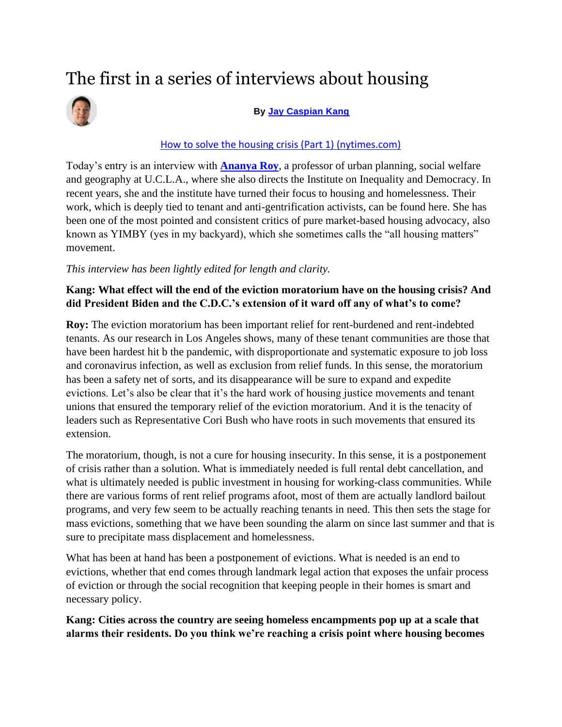# The first in a series of interviews about housing



#### **By [Jay Caspian Kang](https://www.nytimes.com/by/jay-caspian-kang?te=1&nl=jay-caspian-kang&emc=edit_jck_20210819)**

#### [How to solve the housing crisis \(Part 1\) \(nytimes.com\)](https://static.nytimes.com/email-content/JCK_sample.html)

Today's entry is an interview with **[Ananya Roy](https://luskin.ucla.edu/person/ananya-roy)**, a professor of urban planning, social welfare and geography at U.C.L.A., where she also directs the Institute on Inequality and Democracy. In recent years, she and the institute have turned their focus to housing and homelessness. Their work, which is deeply tied to tenant and anti-gentrification activists, can be found here. She has been one of the most pointed and consistent critics of pure market-based housing advocacy, also known as YIMBY (yes in my backyard), which she sometimes calls the "all housing matters" movement.

### *This interview has been lightly edited for length and clarity.*

# **Kang: What effect will the end of the eviction moratorium have on the housing crisis? And did President Biden and the C.D.C.'s extension of it ward off any of what's to come?**

**Roy:** The eviction moratorium has been important relief for rent-burdened and rent-indebted tenants. As our research in Los Angeles shows, many of these tenant communities are those that have been hardest hit b the pandemic, with disproportionate and systematic exposure to job loss and coronavirus infection, as well as exclusion from relief funds. In this sense, the moratorium has been a safety net of sorts, and its disappearance will be sure to expand and expedite evictions. Let's also be clear that it's the hard work of housing justice movements and tenant unions that ensured the temporary relief of the eviction moratorium. And it is the tenacity of leaders such as Representative Cori Bush who have roots in such movements that ensured its extension.

The moratorium, though, is not a cure for housing insecurity. In this sense, it is a postponement of crisis rather than a solution. What is immediately needed is full rental debt cancellation, and what is ultimately needed is public investment in housing for working-class communities. While there are various forms of rent relief programs afoot, most of them are actually landlord bailout programs, and very few seem to be actually reaching tenants in need. This then sets the stage for mass evictions, something that we have been sounding the alarm on since last summer and that is sure to precipitate mass displacement and homelessness.

What has been at hand has been a postponement of evictions. What is needed is an end to evictions, whether that end comes through landmark legal action that exposes the unfair process of eviction or through the social recognition that keeping people in their homes is smart and necessary policy.

**Kang: Cities across the country are seeing homeless encampments pop up at a scale that alarms their residents. Do you think we're reaching a crisis point where housing becomes**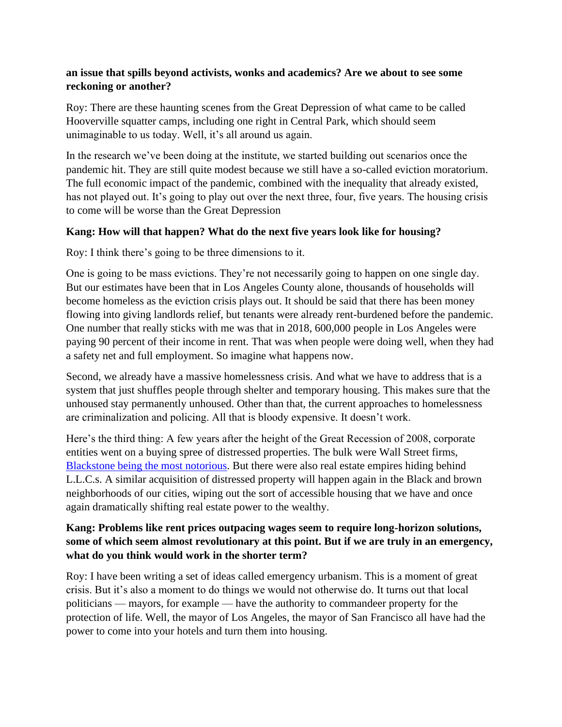#### **an issue that spills beyond activists, wonks and academics? Are we about to see some reckoning or another?**

Roy: There are these haunting scenes from the Great Depression of what came to be called Hooverville squatter camps, including one right in Central Park, which should seem unimaginable to us today. Well, it's all around us again.

In the research we've been doing at the institute, we started building out scenarios once the pandemic hit. They are still quite modest because we still have a so-called eviction moratorium. The full economic impact of the pandemic, combined with the inequality that already existed, has not played out. It's going to play out over the next three, four, five years. The housing crisis to come will be worse than the Great Depression

### **Kang: How will that happen? What do the next five years look like for housing?**

Roy: I think there's going to be three dimensions to it.

One is going to be mass evictions. They're not necessarily going to happen on one single day. But our estimates have been that in Los Angeles County alone, thousands of households will become homeless as the eviction crisis plays out. It should be said that there has been money flowing into giving landlords relief, but tenants were already rent-burdened before the pandemic. One number that really sticks with me was that in 2018, 600,000 people in Los Angeles were paying 90 percent of their income in rent. That was when people were doing well, when they had a safety net and full employment. So imagine what happens now.

Second, we already have a massive homelessness crisis. And what we have to address that is a system that just shuffles people through shelter and temporary housing. This makes sure that the unhoused stay permanently unhoused. Other than that, the current approaches to homelessness are criminalization and policing. All that is bloody expensive. It doesn't work.

Here's the third thing: A few years after the height of the Great Recession of 2008, corporate entities went on a buying spree of distressed properties. The bulk were Wall Street firms, [Blackstone being the most notorious.](https://www.theguardian.com/us-news/2019/mar/26/blackstone-group-accused-global-housing-crisis-un) But there were also real estate empires hiding behind L.L.C.s. A similar acquisition of distressed property will happen again in the Black and brown neighborhoods of our cities, wiping out the sort of accessible housing that we have and once again dramatically shifting real estate power to the wealthy.

### **Kang: Problems like rent prices outpacing wages seem to require long-horizon solutions, some of which seem almost revolutionary at this point. But if we are truly in an emergency, what do you think would work in the shorter term?**

Roy: I have been writing a set of ideas called emergency urbanism. This is a moment of great crisis. But it's also a moment to do things we would not otherwise do. It turns out that local politicians — mayors, for example — have the authority to commandeer property for the protection of life. Well, the mayor of Los Angeles, the mayor of San Francisco all have had the power to come into your hotels and turn them into housing.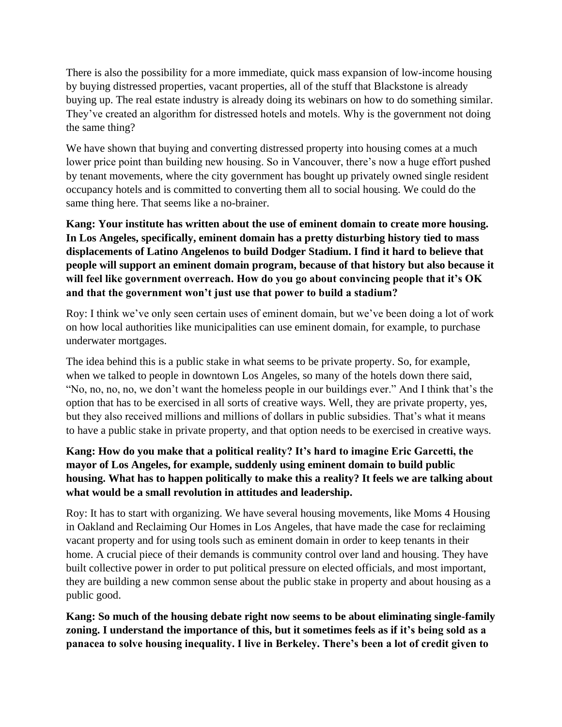There is also the possibility for a more immediate, quick mass expansion of low-income housing by buying distressed properties, vacant properties, all of the stuff that Blackstone is already buying up. The real estate industry is already doing its webinars on how to do something similar. They've created an algorithm for distressed hotels and motels. Why is the government not doing the same thing?

We have shown that buying and converting distressed property into housing comes at a much lower price point than building new housing. So in Vancouver, there's now a huge effort pushed by tenant movements, where the city government has bought up privately owned single resident occupancy hotels and is committed to converting them all to social housing. We could do the same thing here. That seems like a no-brainer.

**Kang: Your institute has written about the use of eminent domain to create more housing. In Los Angeles, specifically, eminent domain has a pretty disturbing history tied to mass displacements of Latino Angelenos to build Dodger Stadium. I find it hard to believe that people will support an eminent domain program, because of that history but also because it will feel like government overreach. How do you go about convincing people that it's OK and that the government won't just use that power to build a stadium?**

Roy: I think we've only seen certain uses of eminent domain, but we've been doing a lot of work on how local authorities like municipalities can use eminent domain, for example, to purchase underwater mortgages.

The idea behind this is a public stake in what seems to be private property. So, for example, when we talked to people in downtown Los Angeles, so many of the hotels down there said, "No, no, no, no, we don't want the homeless people in our buildings ever." And I think that's the option that has to be exercised in all sorts of creative ways. Well, they are private property, yes, but they also received millions and millions of dollars in public subsidies. That's what it means to have a public stake in private property, and that option needs to be exercised in creative ways.

# **Kang: How do you make that a political reality? It's hard to imagine Eric Garcetti, the mayor of Los Angeles, for example, suddenly using eminent domain to build public housing. What has to happen politically to make this a reality? It feels we are talking about what would be a small revolution in attitudes and leadership.**

Roy: It has to start with organizing. We have several housing movements, like Moms 4 Housing in Oakland and Reclaiming Our Homes in Los Angeles, that have made the case for reclaiming vacant property and for using tools such as eminent domain in order to keep tenants in their home. A crucial piece of their demands is community control over land and housing. They have built collective power in order to put political pressure on elected officials, and most important, they are building a new common sense about the public stake in property and about housing as a public good.

**Kang: So much of the housing debate right now seems to be about eliminating single-family zoning. I understand the importance of this, but it sometimes feels as if it's being sold as a panacea to solve housing inequality. I live in Berkeley. There's been a lot of credit given to**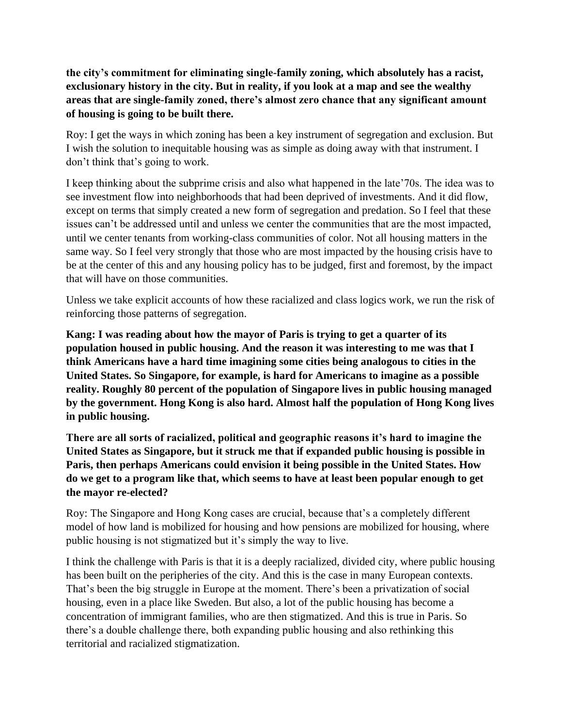**the city's commitment for eliminating single-family zoning, which absolutely has a racist, exclusionary history in the city. But in reality, if you look at a map and see the wealthy areas that are single-family zoned, there's almost zero chance that any significant amount of housing is going to be built there.**

Roy: I get the ways in which zoning has been a key instrument of segregation and exclusion. But I wish the solution to inequitable housing was as simple as doing away with that instrument. I don't think that's going to work.

I keep thinking about the subprime crisis and also what happened in the late'70s. The idea was to see investment flow into neighborhoods that had been deprived of investments. And it did flow, except on terms that simply created a new form of segregation and predation. So I feel that these issues can't be addressed until and unless we center the communities that are the most impacted, until we center tenants from working-class communities of color. Not all housing matters in the same way. So I feel very strongly that those who are most impacted by the housing crisis have to be at the center of this and any housing policy has to be judged, first and foremost, by the impact that will have on those communities.

Unless we take explicit accounts of how these racialized and class logics work, we run the risk of reinforcing those patterns of segregation.

**Kang: I was reading about how the mayor of Paris is trying to get a quarter of its population housed in public housing. And the reason it was interesting to me was that I think Americans have a hard time imagining some cities being analogous to cities in the United States. So Singapore, for example, is hard for Americans to imagine as a possible reality. Roughly 80 percent of the population of Singapore lives in public housing managed by the government. Hong Kong is also hard. Almost half the population of Hong Kong lives in public housing.**

**There are all sorts of racialized, political and geographic reasons it's hard to imagine the United States as Singapore, but it struck me that if expanded public housing is possible in Paris, then perhaps Americans could envision it being possible in the United States. How do we get to a program like that, which seems to have at least been popular enough to get the mayor re-elected?**

Roy: The Singapore and Hong Kong cases are crucial, because that's a completely different model of how land is mobilized for housing and how pensions are mobilized for housing, where public housing is not stigmatized but it's simply the way to live.

I think the challenge with Paris is that it is a deeply racialized, divided city, where public housing has been built on the peripheries of the city. And this is the case in many European contexts. That's been the big struggle in Europe at the moment. There's been a privatization of social housing, even in a place like Sweden. But also, a lot of the public housing has become a concentration of immigrant families, who are then stigmatized. And this is true in Paris. So there's a double challenge there, both expanding public housing and also rethinking this territorial and racialized stigmatization.